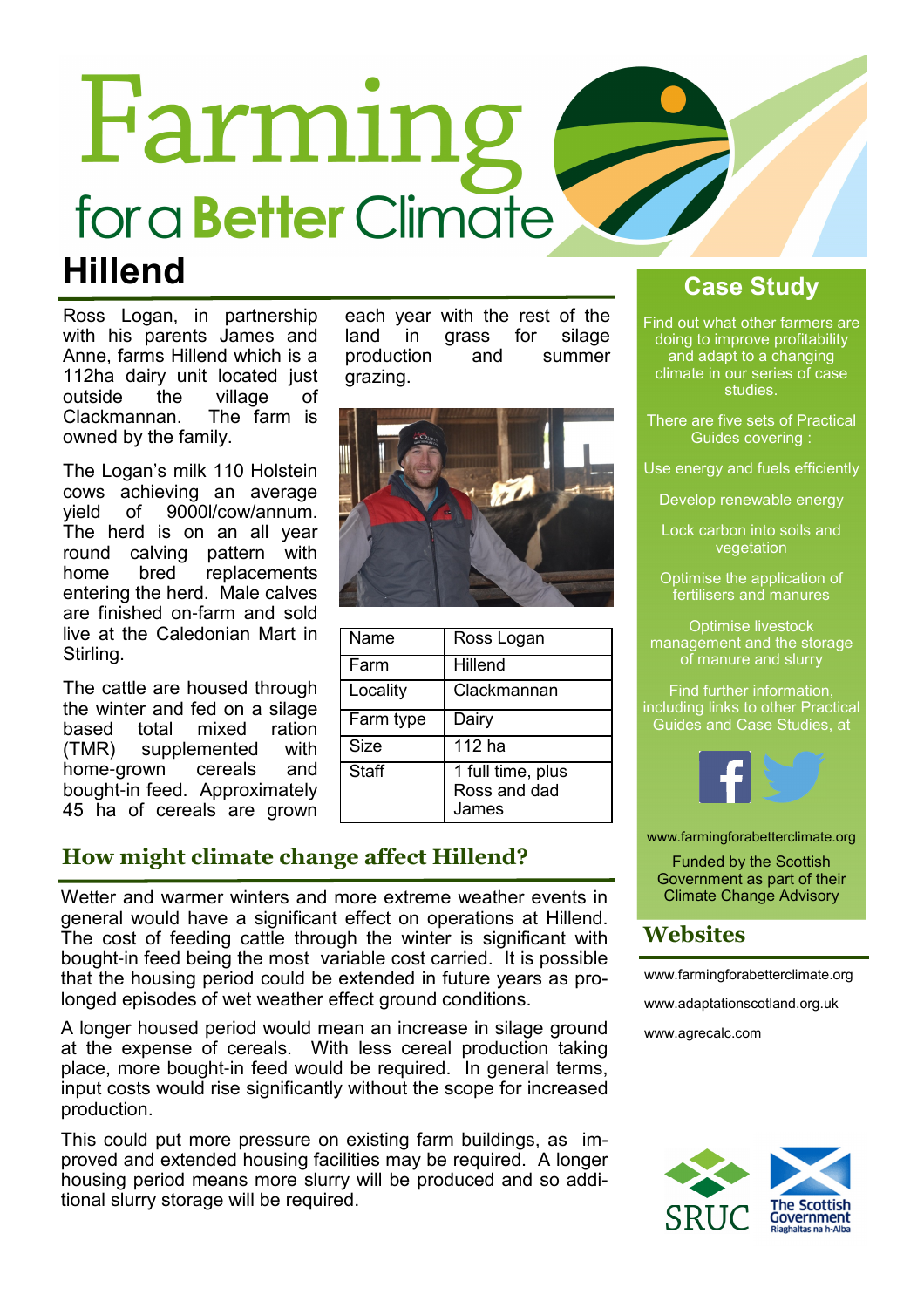# Farming for a **Better** Climate **Hillend**

Ross Logan, in partnership with his parents James and Anne, farms Hillend which is a 112ha dairy unit located just outside the village of<br>Clackmannan. The farm is Clackmannan. owned by the family.

The Logan's milk 110 Holstein cows achieving an average<br>vield of 9000l/cow/annum. 9000l/cow/annum. The herd is on an all year round calving pattern with<br>home bred replacements home bred replacements entering the herd. Male calves are finished on-farm and sold live at the Caledonian Mart in Stirling.

The cattle are housed through the winter and fed on a silage based total mixed ration (TMR) supplemented with home-grown cereals and bought-in feed. Approximately 45 ha of cereals are grown each year with the rest of the land in grass for silage production and summer grazing.



| Name         | Ross Logan                                              |
|--------------|---------------------------------------------------------|
| Farm         | Hillend                                                 |
| Locality     | Clackmannan                                             |
| Farm type    | Dairy                                                   |
| <b>Size</b>  | 112 ha                                                  |
| <b>Staff</b> | $\overline{1}$ full time, plus<br>Ross and dad<br>James |

## How might climate change affect Hillend?

Wetter and warmer winters and more extreme weather events in general would have a significant effect on operations at Hillend. The cost of feeding cattle through the winter is significant with bought-in feed being the most variable cost carried. It is possible that the housing period could be extended in future years as prolonged episodes of wet weather effect ground conditions.

A longer housed period would mean an increase in silage ground at the expense of cereals. With less cereal production taking place, more bought-in feed would be required. In general terms, input costs would rise significantly without the scope for increased production.

This could put more pressure on existing farm buildings, as improved and extended housing facilities may be required. A longer housing period means more slurry will be produced and so additional slurry storage will be required.

## Case Study

Find out what other farmers are doing to improve profitability and adapt to a changing climate in our series of case studies.

- There are five sets of Practical Guides covering :
- Use energy and fuels efficiently
	- Develop renewable energy

Lock carbon into soils and vegetation

Optimise the application of fertilisers and manures

Optimise livestock management and the storage of manure and slurry

Find further information, including links to other Practical Guides and Case Studies, at



www.farmingforabetterclimate.org

Funded by the Scottish Government as part of their Climate Change Advisory

## Websites

www.farmingforabetterclimate.org

www.adaptationscotland.org.uk

www.agrecalc.com